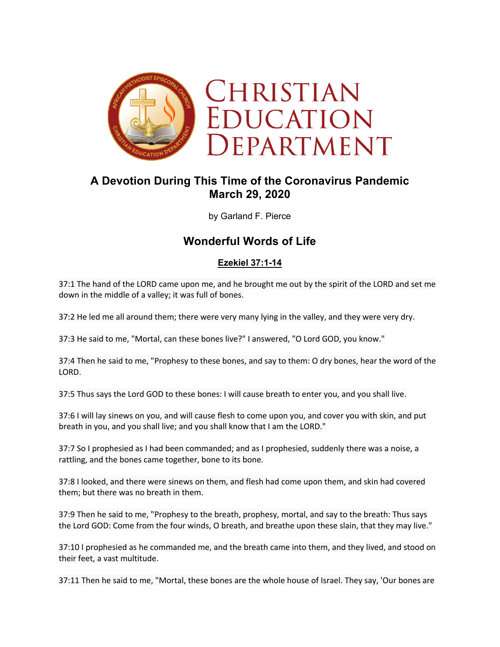

# **A Devotion During This Time of the Coronavirus Pandemic March 29, 2020**

by Garland F. Pierce

## **Wonderful Words of Life**

## **Ezekiel 37:1-14**

37:1 The hand of the LORD came upon me, and he brought me out by the spirit of the LORD and set me down in the middle of a valley; it was full of bones.

37:2 He led me all around them; there were very many lying in the valley, and they were very dry.

37:3 He said to me, "Mortal, can these bones live?" I answered, "O Lord GOD, you know."

37:4 Then he said to me, "Prophesy to these bones, and say to them: O dry bones, hear the word of the LORD.

37:5 Thus says the Lord GOD to these bones: I will cause breath to enter you, and you shall live.

37:6 I will lay sinews on you, and will cause flesh to come upon you, and cover you with skin, and put breath in you, and you shall live; and you shall know that I am the LORD."

37:7 So I prophesied as I had been commanded; and as I prophesied, suddenly there was a noise, a rattling, and the bones came together, bone to its bone.

37:8 I looked, and there were sinews on them, and flesh had come upon them, and skin had covered them; but there was no breath in them.

37:9 Then he said to me, "Prophesy to the breath, prophesy, mortal, and say to the breath: Thus says the Lord GOD: Come from the four winds, O breath, and breathe upon these slain, that they may live."

37:10 I prophesied as he commanded me, and the breath came into them, and they lived, and stood on their feet, a vast multitude.

37:11 Then he said to me, "Mortal, these bones are the whole house of Israel. They say, 'Our bones are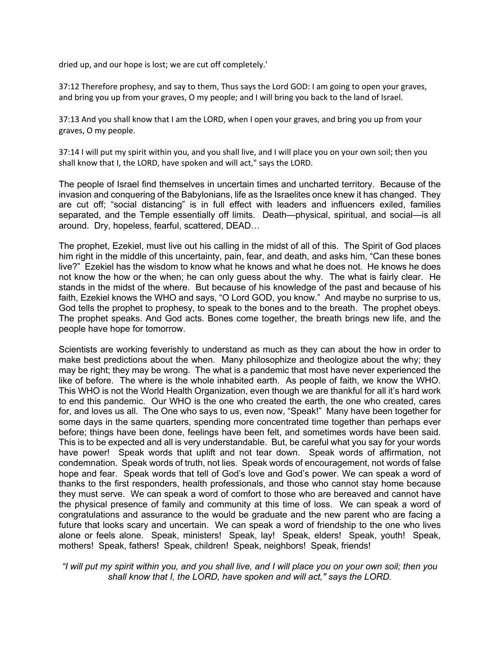dried up, and our hope is lost; we are cut off completely.'

37:12 Therefore prophesy, and say to them, Thus says the Lord GOD: I am going to open your graves, and bring you up from your graves, O my people; and I will bring you back to the land of Israel.

37:13 And you shall know that I am the LORD, when I open your graves, and bring you up from your graves, O my people.

37:14 I will put my spirit within you, and you shall live, and I will place you on your own soil; then you shall know that I, the LORD, have spoken and will act," says the LORD.

The people of Israel find themselves in uncertain times and uncharted territory. Because of the invasion and conquering of the Babylonians, life as the Israelites once knew it has changed. They are cut off; "social distancing" is in full effect with leaders and influencers exiled, families separated, and the Temple essentially off limits. Death—physical, spiritual, and social—is all around. Dry, hopeless, fearful, scattered, DEAD…

The prophet, Ezekiel, must live out his calling in the midst of all of this. The Spirit of God places him right in the middle of this uncertainty, pain, fear, and death, and asks him, "Can these bones live?" Ezekiel has the wisdom to know what he knows and what he does not. He knows he does not know the how or the when; he can only guess about the why. The what is fairly clear. He stands in the midst of the where. But because of his knowledge of the past and because of his faith, Ezekiel knows the WHO and says, "O Lord GOD, you know." And maybe no surprise to us, God tells the prophet to prophesy, to speak to the bones and to the breath. The prophet obeys. The prophet speaks. And God acts. Bones come together, the breath brings new life, and the people have hope for tomorrow.

Scientists are working feverishly to understand as much as they can about the how in order to make best predictions about the when. Many philosophize and theologize about the why; they may be right; they may be wrong. The what is a pandemic that most have never experienced the like of before. The where is the whole inhabited earth. As people of faith, we know the WHO. This WHO is not the World Health Organization, even though we are thankful for all it's hard work to end this pandemic. Our WHO is the one who created the earth, the one who created, cares for, and loves us all. The One who says to us, even now, "Speak!" Many have been together for some days in the same quarters, spending more concentrated time together than perhaps ever before; things have been done, feelings have been felt, and sometimes words have been said. This is to be expected and all is very understandable. But, be careful what you say for your words have power! Speak words that uplift and not tear down. Speak words of affirmation, not condemnation. Speak words of truth, not lies. Speak words of encouragement, not words of false hope and fear. Speak words that tell of God's love and God's power. We can speak a word of thanks to the first responders, health professionals, and those who cannot stay home because they must serve. We can speak a word of comfort to those who are bereaved and cannot have the physical presence of family and community at this time of loss. We can speak a word of congratulations and assurance to the would be graduate and the new parent who are facing a future that looks scary and uncertain. We can speak a word of friendship to the one who lives alone or feels alone. Speak, ministers! Speak, lay! Speak, elders! Speak, youth! Speak, mothers! Speak, fathers! Speak, children! Speak, neighbors! Speak, friends!

*"I will put my spirit within you, and you shall live, and I will place you on your own soil; then you shall know that I, the LORD, have spoken and will act," says the LORD.*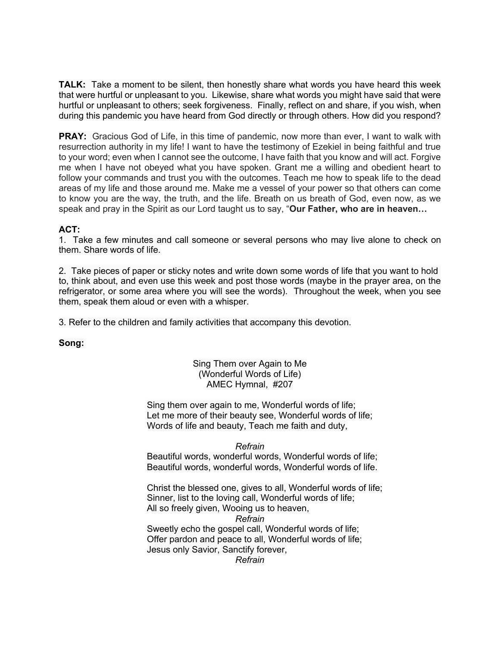**TALK:** Take a moment to be silent, then honestly share what words you have heard this week that were hurtful or unpleasant to you. Likewise, share what words you might have said that were hurtful or unpleasant to others; seek forgiveness. Finally, reflect on and share, if you wish, when during this pandemic you have heard from God directly or through others. How did you respond?

**PRAY:** Gracious God of Life, in this time of pandemic, now more than ever, I want to walk with resurrection authority in my life! I want to have the testimony of Ezekiel in being faithful and true to your word; even when I cannot see the outcome, I have faith that you know and will act. Forgive me when I have not obeyed what you have spoken. Grant me a willing and obedient heart to follow your commands and trust you with the outcomes. Teach me how to speak life to the dead areas of my life and those around me. Make me a vessel of your power so that others can come to know you are the way, the truth, and the life. Breath on us breath of God, even now, as we speak and pray in the Spirit as our Lord taught us to say, "**Our Father, who are in heaven…**

### **ACT:**

1.Take a few minutes and call someone or several persons who may live alone to check on them. Share words of life.

2. Take pieces of paper or sticky notes and write down some words of life that you want to hold to, think about, and even use this week and post those words (maybe in the prayer area, on the refrigerator, or some area where you will see the words). Throughout the week, when you see them, speak them aloud or even with a whisper.

3. Refer to the children and family activities that accompany this devotion.

**Song:**

### Sing Them over Again to Me (Wonderful Words of Life) AMEC Hymnal, #207

Sing them over again to me, Wonderful words of life; Let me more of their beauty see, Wonderful words of life; Words of life and beauty, Teach me faith and duty,

#### *Refrain*

Beautiful words, wonderful words, Wonderful words of life; Beautiful words, wonderful words, Wonderful words of life.

Christ the blessed one, gives to all, Wonderful words of life; Sinner, list to the loving call, Wonderful words of life; All so freely given, Wooing us to heaven, *Refrain*

Sweetly echo the gospel call, Wonderful words of life; Offer pardon and peace to all, Wonderful words of life; Jesus only Savior, Sanctify forever,

*Refrain*